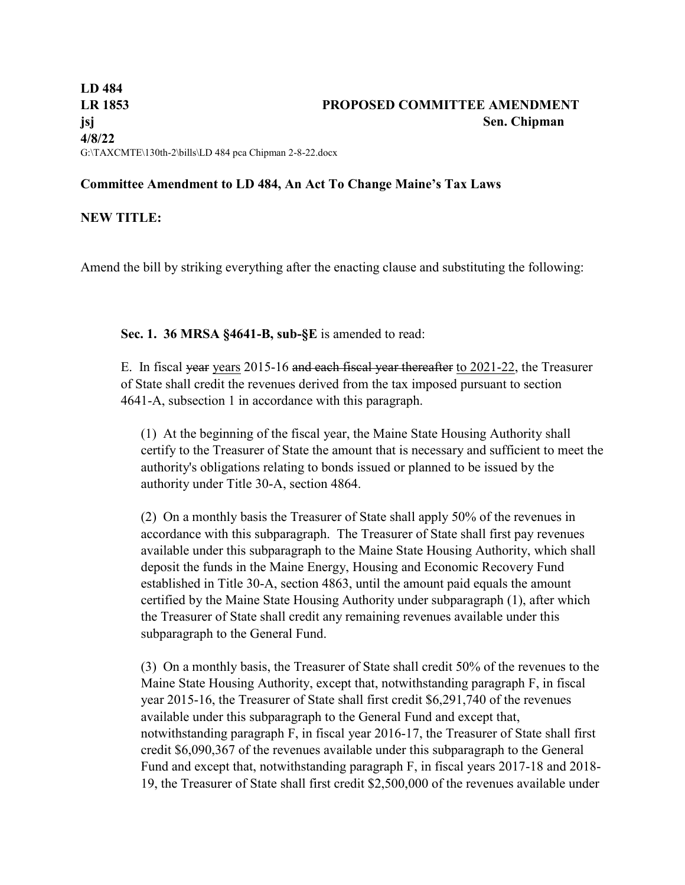## **Committee Amendment to LD 484, An Act To Change Maine's Tax Laws**

## **NEW TITLE:**

Amend the bill by striking everything after the enacting clause and substituting the following:

**Sec. 1. 36 MRSA §4641-B, sub-§E** is amended to read:

E. In fiscal year years 2015-16 and each fiscal year thereafter to 2021-22, the Treasurer of State shall credit the revenues derived from the tax imposed pursuant to section 4641-A, subsection 1 in accordance with this paragraph.

(1) At the beginning of the fiscal year, the Maine State Housing Authority shall certify to the Treasurer of State the amount that is necessary and sufficient to meet the authority's obligations relating to bonds issued or planned to be issued by the authority under Title 30-A, section 4864.

(2) On a monthly basis the Treasurer of State shall apply 50% of the revenues in accordance with this subparagraph. The Treasurer of State shall first pay revenues available under this subparagraph to the Maine State Housing Authority, which shall deposit the funds in the Maine Energy, Housing and Economic Recovery Fund established in Title 30-A, section 4863, until the amount paid equals the amount certified by the Maine State Housing Authority under subparagraph (1), after which the Treasurer of State shall credit any remaining revenues available under this subparagraph to the General Fund.

(3) On a monthly basis, the Treasurer of State shall credit 50% of the revenues to the Maine State Housing Authority, except that, notwithstanding paragraph F, in fiscal year 2015-16, the Treasurer of State shall first credit \$6,291,740 of the revenues available under this subparagraph to the General Fund and except that, notwithstanding paragraph F, in fiscal year 2016-17, the Treasurer of State shall first credit \$6,090,367 of the revenues available under this subparagraph to the General Fund and except that, notwithstanding paragraph F, in fiscal years 2017-18 and 2018- 19, the Treasurer of State shall first credit \$2,500,000 of the revenues available under